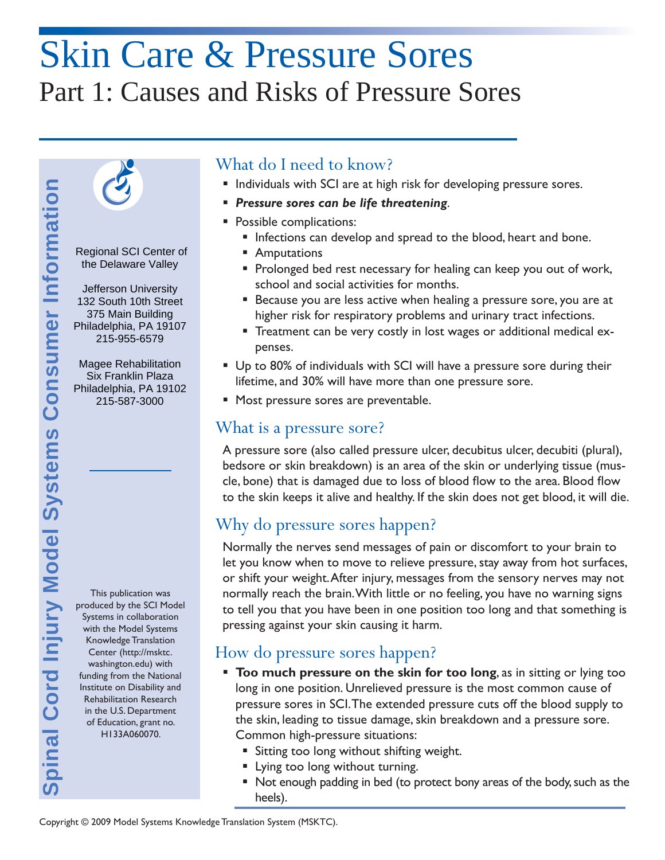# Skin Care & Pressure Sores Part 1: Causes and Risks of Pressure Sores



 Regional SCI Center of the Delaware Valley

 132 South 10th Street Philadelphia, PA 19107 Jefferson University 375 Main Building 215-955-6579

Magee Rehabilitation Six Franklin Plaza Philadelphia, PA 19102 215-587-3000

This publication was produced by the SCI Model Systems in collaboration with the Model Systems Knowledge Translation Center (http://msktc. washington.edu) with funding from the National Institute on Disability and Rehabilitation Research in the U.S. Department of Education, grant no. H133A060070.

## What do I need to know?

- **Individuals with SCI are at high risk for developing pressure sores.**
- *Pressure sores can be life threatening*.
- **Possible complications:** 
	- Infections can develop and spread to the blood, heart and bone.
	- Amputations
	- **Prolonged bed rest necessary for healing can keep you out of work,** school and social activities for months.
	- Because you are less active when healing a pressure sore, you are at higher risk for respiratory problems and urinary tract infections.
	- Treatment can be very costly in lost wages or additional medical expenses.
- Up to 80% of individuals with SCI will have a pressure sore during their lifetime, and 30% will have more than one pressure sore.
- **Most pressure sores are preventable.**

### What is a pressure sore?

A pressure sore (also called pressure ulcer, decubitus ulcer, decubiti (plural), bedsore or skin breakdown) is an area of the skin or underlying tissue (muscle, bone) that is damaged due to loss of blood flow to the area. Blood flow to the skin keeps it alive and healthy. If the skin does not get blood, it will die.

# Why do pressure sores happen?

Normally the nerves send messages of pain or discomfort to your brain to let you know when to move to relieve pressure, stay away from hot surfaces, or shift your weight. After injury, messages from the sensory nerves may not normally reach the brain. With little or no feeling, you have no warning signs to tell you that you have been in one position too long and that something is pressing against your skin causing it harm.

# How do pressure sores happen?

- **Too much pressure on the skin for too long**, as in sitting or lying too long in one position. Unrelieved pressure is the most common cause of pressure sores in SCI. The extended pressure cuts off the blood supply to the skin, leading to tissue damage, skin breakdown and a pressure sore. Common high-pressure situations:
	- **Sitting too long without shifting weight.**
	- **Lying too long without turning.**
	- Not enough padding in bed (to protect bony areas of the body, such as the heels).